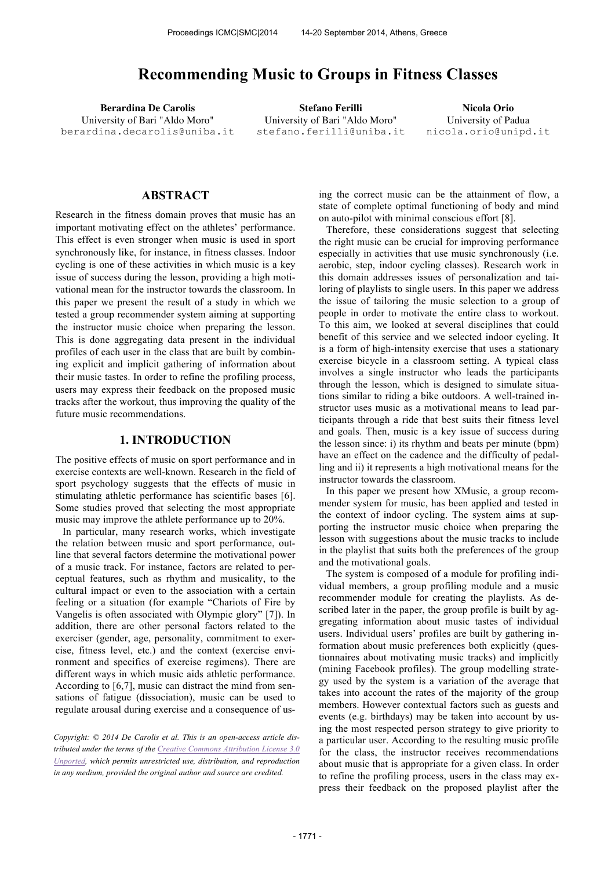# **Recommending Music to Groups in Fitness Classes**

University of Bari "Aldo Moro" berardina.decarolis@uniba.it

**Berardina De Carolis Stefano Ferilli Nicola Orio** University of Bari "Aldo Moro" stefano.ferilli@uniba.it

University of Padua nicola.orio@unipd.it

## **ABSTRACT**

Research in the fitness domain proves that music has an important motivating effect on the athletes' performance. This effect is even stronger when music is used in sport synchronously like, for instance, in fitness classes. Indoor cycling is one of these activities in which music is a key issue of success during the lesson, providing a high motivational mean for the instructor towards the classroom. In this paper we present the result of a study in which we tested a group recommender system aiming at supporting the instructor music choice when preparing the lesson. This is done aggregating data present in the individual profiles of each user in the class that are built by combining explicit and implicit gathering of information about their music tastes. In order to refine the profiling process, users may express their feedback on the proposed music tracks after the workout, thus improving the quality of the future music recommendations.

#### **1. INTRODUCTION**

The positive effects of music on sport performance and in exercise contexts are well-known. Research in the field of sport psychology suggests that the effects of music in stimulating athletic performance has scientific bases [6]. Some studies proved that selecting the most appropriate music may improve the athlete performance up to 20%.

In particular, many research works, which investigate the relation between music and sport performance, outline that several factors determine the motivational power of a music track. For instance, factors are related to perceptual features, such as rhythm and musicality, to the cultural impact or even to the association with a certain feeling or a situation (for example "Chariots of Fire by Vangelis is often associated with Olympic glory" [7]). In addition, there are other personal factors related to the exerciser (gender, age, personality, commitment to exercise, fitness level, etc.) and the context (exercise environment and specifics of exercise regimens). There are different ways in which music aids athletic performance. According to [6,7], music can distract the mind from sensations of fatigue (dissociation), music can be used to regulate arousal during exercise and a consequence of us-

*Copyright: © 2014 De Carolis et al. This is an open-access article distributed under the terms of the Creative Commons Attribution License 3.0 Unported, which permits unrestricted use, distribution, and reproduction in any medium, provided the original author and source are credited.*

ing the correct music can be the attainment of flow, a state of complete optimal functioning of body and mind on auto-pilot with minimal conscious effort [8].

Therefore, these considerations suggest that selecting the right music can be crucial for improving performance especially in activities that use music synchronously (i.e. aerobic, step, indoor cycling classes). Research work in this domain addresses issues of personalization and tailoring of playlists to single users. In this paper we address the issue of tailoring the music selection to a group of people in order to motivate the entire class to workout. To this aim, we looked at several disciplines that could benefit of this service and we selected indoor cycling. It is a form of high-intensity exercise that uses a stationary exercise bicycle in a classroom setting. A typical class involves a single instructor who leads the participants through the lesson, which is designed to simulate situations similar to riding a bike outdoors. A well-trained instructor uses music as a motivational means to lead participants through a ride that best suits their fitness level and goals. Then, music is a key issue of success during the lesson since: i) its rhythm and beats per minute (bpm) have an effect on the cadence and the difficulty of pedalling and ii) it represents a high motivational means for the instructor towards the classroom.

In this paper we present how XMusic, a group recommender system for music, has been applied and tested in the context of indoor cycling. The system aims at supporting the instructor music choice when preparing the lesson with suggestions about the music tracks to include in the playlist that suits both the preferences of the group and the motivational goals.

The system is composed of a module for profiling individual members, a group profiling module and a music recommender module for creating the playlists. As described later in the paper, the group profile is built by aggregating information about music tastes of individual users. Individual users' profiles are built by gathering information about music preferences both explicitly (questionnaires about motivating music tracks) and implicitly (mining Facebook profiles). The group modelling strategy used by the system is a variation of the average that takes into account the rates of the majority of the group members. However contextual factors such as guests and events (e.g. birthdays) may be taken into account by using the most respected person strategy to give priority to a particular user. According to the resulting music profile for the class, the instructor receives recommendations about music that is appropriate for a given class. In order to refine the profiling process, users in the class may express their feedback on the proposed playlist after the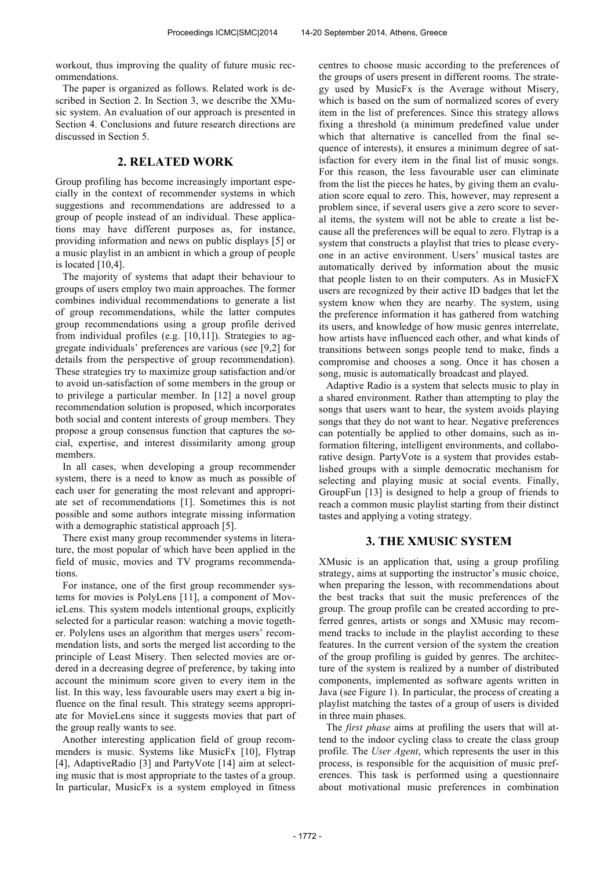workout, thus improving the quality of future music recommendations.

The paper is organized as follows. Related work is described in Section 2. In Section 3, we describe the XMusic system. An evaluation of our approach is presented in Section 4. Conclusions and future research directions are discussed in Section 5.

# **2. RELATED WORK**

Group profiling has become increasingly important especially in the context of recommender systems in which suggestions and recommendations are addressed to a group of people instead of an individual. These applications may have different purposes as, for instance, providing information and news on public displays [5] or a music playlist in an ambient in which a group of people is located [10,4].

The majority of systems that adapt their behaviour to groups of users employ two main approaches. The former combines individual recommendations to generate a list of group recommendations, while the latter computes group recommendations using a group profile derived from individual profiles (e.g. [10,11]). Strategies to aggregate individuals' preferences are various (see [9,2] for details from the perspective of group recommendation). These strategies try to maximize group satisfaction and/or to avoid un-satisfaction of some members in the group or to privilege a particular member. In [12] a novel group recommendation solution is proposed, which incorporates both social and content interests of group members. They propose a group consensus function that captures the social, expertise, and interest dissimilarity among group members.

In all cases, when developing a group recommender system, there is a need to know as much as possible of each user for generating the most relevant and appropriate set of recommendations [1]. Sometimes this is not possible and some authors integrate missing information with a demographic statistical approach [5].

There exist many group recommender systems in literature, the most popular of which have been applied in the field of music, movies and TV programs recommendations.

For instance, one of the first group recommender systems for movies is PolyLens [11], a component of MovieLens. This system models intentional groups, explicitly selected for a particular reason: watching a movie together. Polylens uses an algorithm that merges users' recommendation lists, and sorts the merged list according to the principle of Least Misery. Then selected movies are ordered in a decreasing degree of preference, by taking into account the minimum score given to every item in the list. In this way, less favourable users may exert a big influence on the final result. This strategy seems appropriate for MovieLens since it suggests movies that part of the group really wants to see.

Another interesting application field of group recommenders is music. Systems like MusicFx [10], Flytrap [4], AdaptiveRadio [3] and PartyVote [14] aim at selecting music that is most appropriate to the tastes of a group. In particular, MusicFx is a system employed in fitness centres to choose music according to the preferences of the groups of users present in different rooms. The strategy used by MusicFx is the Average without Misery, which is based on the sum of normalized scores of every item in the list of preferences. Since this strategy allows fixing a threshold (a minimum predefined value under which that alternative is cancelled from the final sequence of interests), it ensures a minimum degree of satisfaction for every item in the final list of music songs. For this reason, the less favourable user can eliminate from the list the pieces he hates, by giving them an evaluation score equal to zero. This, however, may represent a problem since, if several users give a zero score to several items, the system will not be able to create a list because all the preferences will be equal to zero. Flytrap is a system that constructs a playlist that tries to please everyone in an active environment. Users' musical tastes are automatically derived by information about the music that people listen to on their computers. As in MusicFX users are recognized by their active ID badges that let the system know when they are nearby. The system, using the preference information it has gathered from watching its users, and knowledge of how music genres interrelate, how artists have influenced each other, and what kinds of transitions between songs people tend to make, finds a compromise and chooses a song. Once it has chosen a song, music is automatically broadcast and played.

Adaptive Radio is a system that selects music to play in a shared environment. Rather than attempting to play the songs that users want to hear, the system avoids playing songs that they do not want to hear. Negative preferences can potentially be applied to other domains, such as information filtering, intelligent environments, and collaborative design. PartyVote is a system that provides established groups with a simple democratic mechanism for selecting and playing music at social events. Finally, GroupFun [13] is designed to help a group of friends to reach a common music playlist starting from their distinct tastes and applying a voting strategy.

## **3. THE XMUSIC SYSTEM**

XMusic is an application that, using a group profiling strategy, aims at supporting the instructor's music choice, when preparing the lesson, with recommendations about the best tracks that suit the music preferences of the group. The group profile can be created according to preferred genres, artists or songs and XMusic may recommend tracks to include in the playlist according to these features. In the current version of the system the creation of the group profiling is guided by genres. The architecture of the system is realized by a number of distributed components, implemented as software agents written in Java (see Figure 1). In particular, the process of creating a playlist matching the tastes of a group of users is divided in three main phases.

The *first phase* aims at profiling the users that will attend to the indoor cycling class to create the class group profile. The *User Agent*, which represents the user in this process, is responsible for the acquisition of music preferences. This task is performed using a questionnaire about motivational music preferences in combination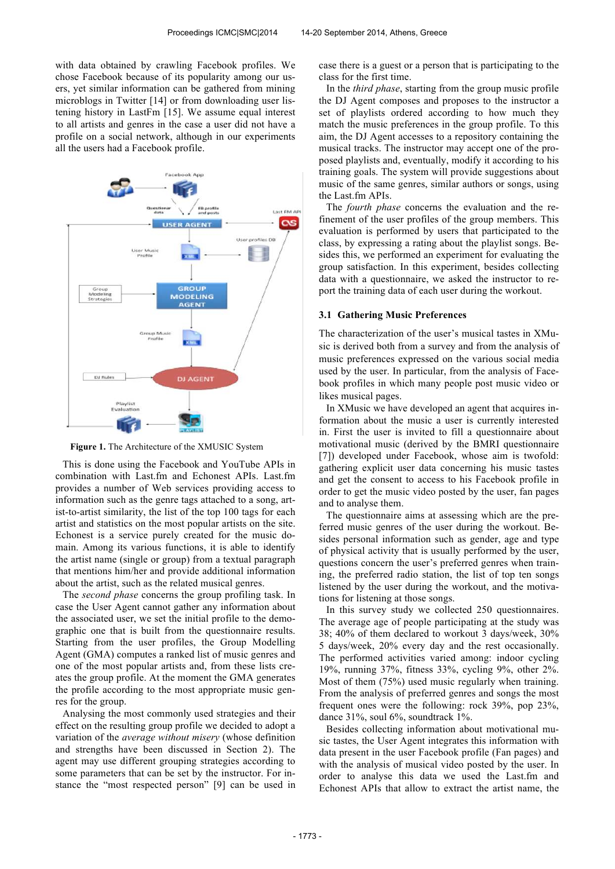with data obtained by crawling Facebook profiles. We chose Facebook because of its popularity among our users, yet similar information can be gathered from mining microblogs in Twitter [14] or from downloading user listening history in LastFm [15]. We assume equal interest to all artists and genres in the case a user did not have a profile on a social network, although in our experiments all the users had a Facebook profile.



**Figure 1.** The Architecture of the XMUSIC System

This is done using the Facebook and YouTube APIs in combination with Last.fm and Echonest APIs. Last.fm provides a number of Web services providing access to information such as the genre tags attached to a song, artist-to-artist similarity, the list of the top 100 tags for each artist and statistics on the most popular artists on the site. Echonest is a service purely created for the music domain. Among its various functions, it is able to identify the artist name (single or group) from a textual paragraph that mentions him/her and provide additional information about the artist, such as the related musical genres.

The *second phase* concerns the group profiling task. In case the User Agent cannot gather any information about the associated user, we set the initial profile to the demographic one that is built from the questionnaire results. Starting from the user profiles, the Group Modelling Agent (GMA) computes a ranked list of music genres and one of the most popular artists and, from these lists creates the group profile. At the moment the GMA generates the profile according to the most appropriate music genres for the group.

Analysing the most commonly used strategies and their effect on the resulting group profile we decided to adopt a variation of the *average without misery* (whose definition and strengths have been discussed in Section 2). The agent may use different grouping strategies according to some parameters that can be set by the instructor. For instance the "most respected person" [9] can be used in

case there is a guest or a person that is participating to the class for the first time.

In the *third phase*, starting from the group music profile the DJ Agent composes and proposes to the instructor a set of playlists ordered according to how much they match the music preferences in the group profile. To this aim, the DJ Agent accesses to a repository containing the musical tracks. The instructor may accept one of the proposed playlists and, eventually, modify it according to his training goals. The system will provide suggestions about music of the same genres, similar authors or songs, using the Last.fm APIs.

The *fourth phase* concerns the evaluation and the refinement of the user profiles of the group members. This evaluation is performed by users that participated to the class, by expressing a rating about the playlist songs. Besides this, we performed an experiment for evaluating the group satisfaction. In this experiment, besides collecting data with a questionnaire, we asked the instructor to report the training data of each user during the workout.

#### **3.1 Gathering Music Preferences**

The characterization of the user's musical tastes in XMusic is derived both from a survey and from the analysis of music preferences expressed on the various social media used by the user. In particular, from the analysis of Facebook profiles in which many people post music video or likes musical pages.

In XMusic we have developed an agent that acquires information about the music a user is currently interested in. First the user is invited to fill a questionnaire about motivational music (derived by the BMRI questionnaire [7]) developed under Facebook, whose aim is twofold: gathering explicit user data concerning his music tastes and get the consent to access to his Facebook profile in order to get the music video posted by the user, fan pages and to analyse them.

The questionnaire aims at assessing which are the preferred music genres of the user during the workout. Besides personal information such as gender, age and type of physical activity that is usually performed by the user, questions concern the user's preferred genres when training, the preferred radio station, the list of top ten songs listened by the user during the workout, and the motivations for listening at those songs.

In this survey study we collected 250 questionnaires. The average age of people participating at the study was 38; 40% of them declared to workout 3 days/week, 30% 5 days/week, 20% every day and the rest occasionally. The performed activities varied among: indoor cycling 19%, running 37%, fitness 33%, cycling 9%, other 2%. Most of them (75%) used music regularly when training. From the analysis of preferred genres and songs the most frequent ones were the following: rock 39%, pop 23%, dance 31%, soul 6%, soundtrack 1%.

Besides collecting information about motivational music tastes, the User Agent integrates this information with data present in the user Facebook profile (Fan pages) and with the analysis of musical video posted by the user. In order to analyse this data we used the Last.fm and Echonest APIs that allow to extract the artist name, the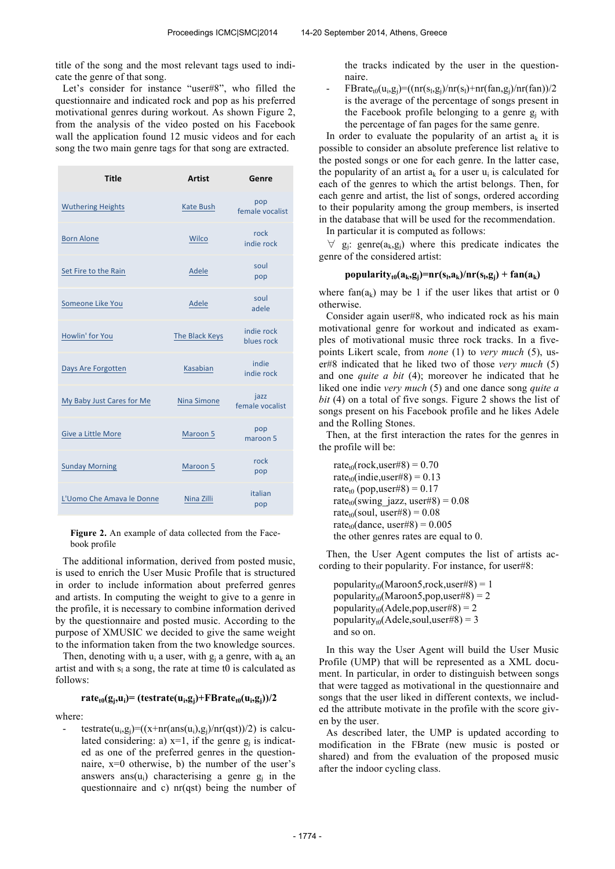title of the song and the most relevant tags used to indicate the genre of that song.

Let's consider for instance "user#8", who filled the questionnaire and indicated rock and pop as his preferred motivational genres during workout. As shown Figure 2, from the analysis of the video posted on his Facebook wall the application found 12 music videos and for each song the two main genre tags for that song are extracted.

| <b>Title</b>              | <b>Artist</b>      | Genre                    |
|---------------------------|--------------------|--------------------------|
| <b>Wuthering Heights</b>  | <b>Kate Bush</b>   | pop<br>female vocalist   |
| <b>Born Alone</b>         | Wilco              | rock<br>indie rock       |
| Set Fire to the Rain      | Adele              | soul<br>pop              |
| Someone Like You          | Adele              | soul<br>adele            |
| Howlin' for You           | The Black Keys     | indie rock<br>blues rock |
| Days Are Forgotten        | Kasabian           | indie<br>indie rock      |
| My Baby Just Cares for Me | <b>Nina Simone</b> | jazz<br>female vocalist  |
| Give a Little More        | Maroon 5           | pop<br>maroon 5          |
| <b>Sunday Morning</b>     | Maroon 5           | rock<br>pop              |
| L'Uomo Che Amava le Donne | Nina Zilli         | italian<br>pop           |

**Figure 2.** An example of data collected from the Facebook profile

The additional information, derived from posted music, is used to enrich the User Music Profile that is structured in order to include information about preferred genres and artists. In computing the weight to give to a genre in the profile, it is necessary to combine information derived by the questionnaire and posted music. According to the purpose of XMUSIC we decided to give the same weight to the information taken from the two knowledge sources.

Then, denoting with  $u_i$  a user, with  $g_i$  a genre, with  $a_k$  an artist and with  $s<sub>l</sub>$  a song, the rate at time t0 is calculated as follows:

#### $\mathbf{rate}_{\mathbf{t0}}(\mathbf{g}_j, \mathbf{u}_i) = (\mathbf{testrate}(\mathbf{u}_i, \mathbf{g}_j) + \mathbf{FBrate}_{\mathbf{t0}}(\mathbf{u}_i, \mathbf{g}_j))/2$

where:

- testrate $(u_i, g_j) = ((x + nr(\text{ans}(u_i), g_j)/nr(qst))/2)$  is calculated considering: a)  $x=1$ , if the genre  $g_j$  is indicated as one of the preferred genres in the questionnaire, x=0 otherwise, b) the number of the user's answers ans( $u_i$ ) characterising a genre  $g_j$  in the questionnaire and c) nr(qst) being the number of the tracks indicated by the user in the questionnaire.

- FBrate<sub>t0</sub>( $u_i$ ,g<sub>j</sub>)=((nr( $s_i$ ,g<sub>j</sub>)/nr( $s_i$ )+nr(fan,g<sub>j</sub>)/nr(fan))/2 is the average of the percentage of songs present in the Facebook profile belonging to a genre  $g_i$  with the percentage of fan pages for the same genre.

In order to evaluate the popularity of an artist  $a_{\nu}$  it is possible to consider an absolute preference list relative to the posted songs or one for each genre. In the latter case, the popularity of an artist  $a_k$  for a user  $u_i$  is calculated for each of the genres to which the artist belongs. Then, for each genre and artist, the list of songs, ordered according to their popularity among the group members, is inserted in the database that will be used for the recommendation.

In particular it is computed as follows:

 $\forall$  g<sub>j</sub>: genre(a<sub>k</sub>, g<sub>j</sub>) where this predicate indicates the genre of the considered artist:

# **popularity**<sub>t0</sub> $(a_k, g_j) = nr(s_l, a_k)/nr(s_l, g_j) + fan(a_k)$

where fan( $a_k$ ) may be 1 if the user likes that artist or 0 otherwise.

Consider again user#8, who indicated rock as his main motivational genre for workout and indicated as examples of motivational music three rock tracks. In a fivepoints Likert scale, from *none* (1) to *very much* (5), user#8 indicated that he liked two of those *very much* (5) and one *quite a bit* (4); moreover he indicated that he liked one indie *very much* (5) and one dance song *quite a bit* (4) on a total of five songs. Figure 2 shows the list of songs present on his Facebook profile and he likes Adele and the Rolling Stones.

Then, at the first interaction the rates for the genres in the profile will be:

rate<sub>t0</sub>(rock,user#8) =  $0.70$ rate<sub>t0</sub>(indie,user#8) =  $0.13$ rate<sub>t0</sub> (pop,user#8) =  $0.17$ rate<sub>t0</sub>(swing jazz, user#8) =  $0.08$ rate<sub>t0</sub>(soul, user#8) =  $0.08$ rate<sub>t0</sub>(dance, user#8) =  $0.005$ the other genres rates are equal to 0.

Then, the User Agent computes the list of artists according to their popularity. For instance, for user#8:

popularity<sub>t0</sub>(Maroon5,rock,user#8) = 1 popularity<sub>t0</sub>(Maroon5,pop,user#8) = 2 popularity<sub>t0</sub>(Adele,pop,user#8) = 2 popularity<sub>t0</sub>(Adele,soul,user#8) = 3 and so on.

In this way the User Agent will build the User Music Profile (UMP) that will be represented as a XML document. In particular, in order to distinguish between songs that were tagged as motivational in the questionnaire and songs that the user liked in different contexts, we included the attribute motivate in the profile with the score given by the user.

As described later, the UMP is updated according to modification in the FBrate (new music is posted or shared) and from the evaluation of the proposed music after the indoor cycling class.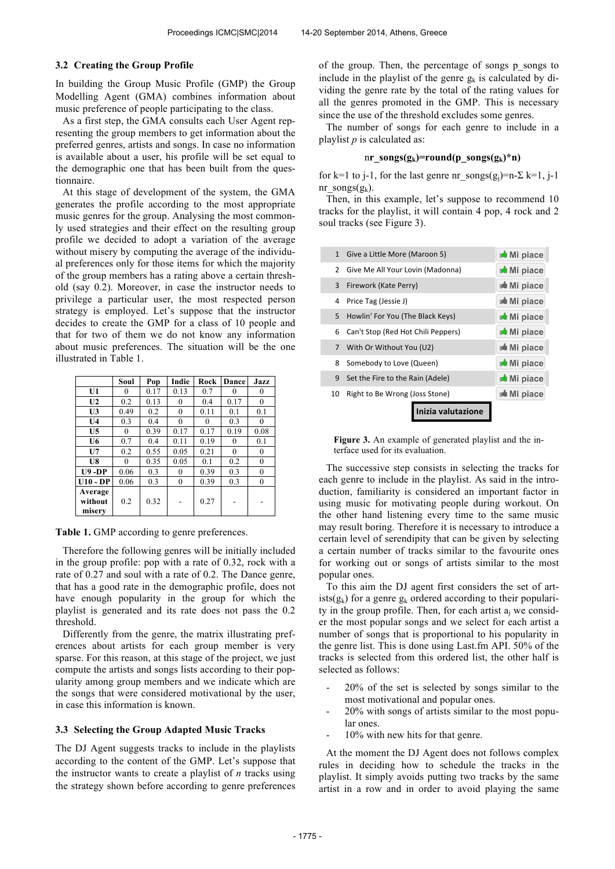#### **3.2 Creating the Group Profile**

In building the Group Music Profile (GMP) the Group Modelling Agent (GMA) combines information about music preference of people participating to the class.

As a first step, the GMA consults each User Agent representing the group members to get information about the preferred genres, artists and songs. In case no information is available about a user, his profile will be set equal to the demographic one that has been built from the questionnaire.

At this stage of development of the system, the GMA generates the profile according to the most appropriate music genres for the group. Analysing the most commonly used strategies and their effect on the resulting group profile we decided to adopt a variation of the average without misery by computing the average of the individual preferences only for those items for which the majority of the group members has a rating above a certain threshold (say 0.2). Moreover, in case the instructor needs to privilege a particular user, the most respected person strategy is employed. Let's suppose that the instructor decides to create the GMP for a class of 10 people and that for two of them we do not know any information about music preferences. The situation will be the one illustrated in Table 1.

|                | Soul     | Pop  | Indie            | Rock | Dance    | Jazz             |
|----------------|----------|------|------------------|------|----------|------------------|
| U1             | 0        | 0.17 | 0.13             | 0.7  | 0        | 0                |
| U <sub>2</sub> | 0.2      | 0.13 | 0                | 0.4  | 0.17     | 0                |
| U3             | 0.49     | 0.2  | 0                | 0.11 | 0.1      | 0.1              |
| U <sub>4</sub> | 0.3      | 0.4  | 0                | 0    | 0.3      | $\theta$         |
| U <sub>5</sub> | $\Omega$ | 0.39 | 0.17             | 0.17 | 0.19     | 0.08             |
| U6             | 0.7      | 0.4  | 0.11             | 0.19 | $\theta$ | 0.1              |
| U7             | 0.2      | 0.55 | 0.05             | 0.21 | $\theta$ | $\mathbf{0}$     |
| U8             | $\Omega$ | 0.35 | 0.05             | 0.1  | 0.2      | $\theta$         |
| <b>U9-DP</b>   | 0.06     | 0.3  | 0                | 0.39 | 0.3      | $\boldsymbol{0}$ |
| $U10 - DP$     | 0.06     | 0.3  | $\boldsymbol{0}$ | 0.39 | 0.3      | $\boldsymbol{0}$ |
| Average        |          |      |                  |      |          |                  |
| without        | 0.2      | 0.32 |                  | 0.27 |          |                  |
| miserv         |          |      |                  |      |          |                  |

**Table 1.** GMP according to genre preferences.

Therefore the following genres will be initially included in the group profile: pop with a rate of 0.32, rock with a rate of 0.27 and soul with a rate of 0.2. The Dance genre, that has a good rate in the demographic profile, does not have enough popularity in the group for which the playlist is generated and its rate does not pass the 0.2 threshold.

Differently from the genre, the matrix illustrating preferences about artists for each group member is very sparse. For this reason, at this stage of the project, we just compute the artists and songs lists according to their popularity among group members and we indicate which are the songs that were considered motivational by the user, in case this information is known.

#### **3.3 Selecting the Group Adapted Music Tracks**

The DJ Agent suggests tracks to include in the playlists according to the content of the GMP. Let's suppose that the instructor wants to create a playlist of *n* tracks using the strategy shown before according to genre preferences of the group. Then, the percentage of songs p\_songs to include in the playlist of the genre  $g_k$  is calculated by dividing the genre rate by the total of the rating values for all the genres promoted in the GMP. This is necessary since the use of the threshold excludes some genres.

The number of songs for each genre to include in a playlist *p* is calculated as:

#### nr\_songs( $g_k$ )=round(p\_songs( $g_k$ )\*n)

for k=1 to j-1, for the last genre nr songs(g<sub>i</sub>)=n- $\Sigma$  k=1, j-1 nr\_songs( $g_k$ ).

Then, in this example, let's suppose to recommend 10 tracks for the playlist, it will contain 4 pop, 4 rock and 2 soul tracks (see Figure 3).

|                | a valutazione                      |                         |
|----------------|------------------------------------|-------------------------|
| 10             | Right to Be Wrong (Joss Stone)     | <b>Mi</b> piace         |
| 9              | Set the Fire to the Rain (Adele)   | Mi piace                |
| 8              | Somebody to Love (Queen)           | Mi piace                |
| $\overline{7}$ | With Or Without You (U2)           | <b>Mi</b> piace         |
| 6              | Can't Stop (Red Hot Chili Peppers) | Mi piace                |
| 5              | Howlin' For You (The Black Keys)   | Mi piace                |
| 4              | Price Tag (Jessie J)               | $\blacksquare$ Mi piace |
| 3              | Firework (Kate Perry)              | <b>D</b> UMi piace      |
| $\overline{2}$ | Give Me All Your Lovin (Madonna)   | Mi piace                |
|                | 1 Give a Little More (Maroon 5)    | Mi piace                |
|                |                                    |                         |

**Figure 3.** An example of generated playlist and the interface used for its evaluation.

The successive step consists in selecting the tracks for each genre to include in the playlist. As said in the introduction, familiarity is considered an important factor in using music for motivating people during workout. On the other hand listening every time to the same music may result boring. Therefore it is necessary to introduce a certain level of serendipity that can be given by selecting a certain number of tracks similar to the favourite ones for working out or songs of artists similar to the most popular ones.

To this aim the DJ agent first considers the set of artists( $g_k$ ) for a genre  $g_k$  ordered according to their popularity in the group profile. Then, for each artist  $a_i$  we consider the most popular songs and we select for each artist a number of songs that is proportional to his popularity in the genre list. This is done using Last.fm API. 50% of the tracks is selected from this ordered list, the other half is selected as follows:

- 20% of the set is selected by songs similar to the most motivational and popular ones.
- 20% with songs of artists similar to the most popular ones.
- 10% with new hits for that genre.

At the moment the DJ Agent does not follows complex rules in deciding how to schedule the tracks in the playlist. It simply avoids putting two tracks by the same artist in a row and in order to avoid playing the same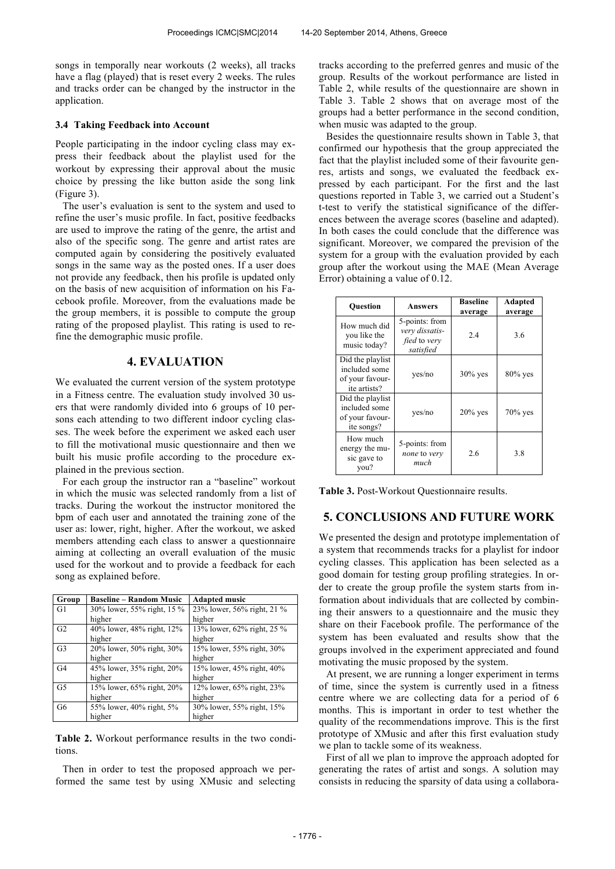songs in temporally near workouts (2 weeks), all tracks have a flag (played) that is reset every 2 weeks. The rules and tracks order can be changed by the instructor in the application.

# **3.4 Taking Feedback into Account**

People participating in the indoor cycling class may express their feedback about the playlist used for the workout by expressing their approval about the music choice by pressing the like button aside the song link (Figure 3).

The user's evaluation is sent to the system and used to refine the user's music profile. In fact, positive feedbacks are used to improve the rating of the genre, the artist and also of the specific song. The genre and artist rates are computed again by considering the positively evaluated songs in the same way as the posted ones. If a user does not provide any feedback, then his profile is updated only on the basis of new acquisition of information on his Facebook profile. Moreover, from the evaluations made be the group members, it is possible to compute the group rating of the proposed playlist. This rating is used to refine the demographic music profile.

## **4. EVALUATION**

We evaluated the current version of the system prototype in a Fitness centre. The evaluation study involved 30 users that were randomly divided into 6 groups of 10 persons each attending to two different indoor cycling classes. The week before the experiment we asked each user to fill the motivational music questionnaire and then we built his music profile according to the procedure explained in the previous section.

For each group the instructor ran a "baseline" workout in which the music was selected randomly from a list of tracks. During the workout the instructor monitored the bpm of each user and annotated the training zone of the user as: lower, right, higher. After the workout, we asked members attending each class to answer a questionnaire aiming at collecting an overall evaluation of the music used for the workout and to provide a feedback for each song as explained before.

| Group          | <b>Baseline – Random Music</b> | <b>Adapted music</b>       |
|----------------|--------------------------------|----------------------------|
| G1             | 30% lower, 55% right, 15 %     | 23% lower, 56% right, 21 % |
|                | higher                         | higher                     |
| G <sub>2</sub> | 40% lower, 48% right, 12%      | 13% lower, 62% right, 25 % |
|                | higher                         | higher                     |
| G <sub>3</sub> | 20% lower, 50% right, 30%      | 15% lower, 55% right, 30%  |
|                | higher                         | higher                     |
| G <sub>4</sub> | 45% lower, 35% right, 20%      | 15% lower, 45% right, 40%  |
|                | higher                         | higher                     |
| G <sub>5</sub> | 15% lower, 65% right, 20%      | 12% lower, 65% right, 23%  |
|                | higher                         | higher                     |
| G <sub>6</sub> | 55% lower, 40% right, 5%       | 30% lower, 55% right, 15%  |
|                | higher                         | higher                     |

**Table 2.** Workout performance results in the two conditions.

Then in order to test the proposed approach we performed the same test by using XMusic and selecting tracks according to the preferred genres and music of the group. Results of the workout performance are listed in Table 2, while results of the questionnaire are shown in Table 3. Table 2 shows that on average most of the groups had a better performance in the second condition, when music was adapted to the group.

Besides the questionnaire results shown in Table 3, that confirmed our hypothesis that the group appreciated the fact that the playlist included some of their favourite genres, artists and songs, we evaluated the feedback expressed by each participant. For the first and the last questions reported in Table 3, we carried out a Student's t-test to verify the statistical significance of the differences between the average scores (baseline and adapted). In both cases the could conclude that the difference was significant. Moreover, we compared the prevision of the system for a group with the evaluation provided by each group after the workout using the MAE (Mean Average Error) obtaining a value of 0.12.

| <b>Ouestion</b>                                                      | <b>Answers</b>                                                | <b>Baseline</b><br>average | Adapted<br>average |
|----------------------------------------------------------------------|---------------------------------------------------------------|----------------------------|--------------------|
| How much did<br>you like the<br>music today?                         | 5-points: from<br>very dissatis-<br>fied to very<br>satisfied | 2.4                        | 3.6                |
| Did the playlist<br>included some<br>of your favour-<br>ite artists? | yes/no                                                        | $30\%$ yes                 | $80\%$ yes         |
| Did the playlist<br>included some<br>of your favour-<br>ite songs?   | yes/no                                                        | $20\%$ yes                 | $70\%$ yes         |
| How much<br>energy the mu-<br>sic gave to<br>you?                    | 5-points: from<br>none to very<br>much                        | 2.6                        | 3.8                |

**Table 3.** Post-Workout Questionnaire results.

# **5. CONCLUSIONS AND FUTURE WORK**

We presented the design and prototype implementation of a system that recommends tracks for a playlist for indoor cycling classes. This application has been selected as a good domain for testing group profiling strategies. In order to create the group profile the system starts from information about individuals that are collected by combining their answers to a questionnaire and the music they share on their Facebook profile. The performance of the system has been evaluated and results show that the groups involved in the experiment appreciated and found motivating the music proposed by the system.

At present, we are running a longer experiment in terms of time, since the system is currently used in a fitness centre where we are collecting data for a period of 6 months. This is important in order to test whether the quality of the recommendations improve. This is the first prototype of XMusic and after this first evaluation study we plan to tackle some of its weakness.

First of all we plan to improve the approach adopted for generating the rates of artist and songs. A solution may consists in reducing the sparsity of data using a collabora